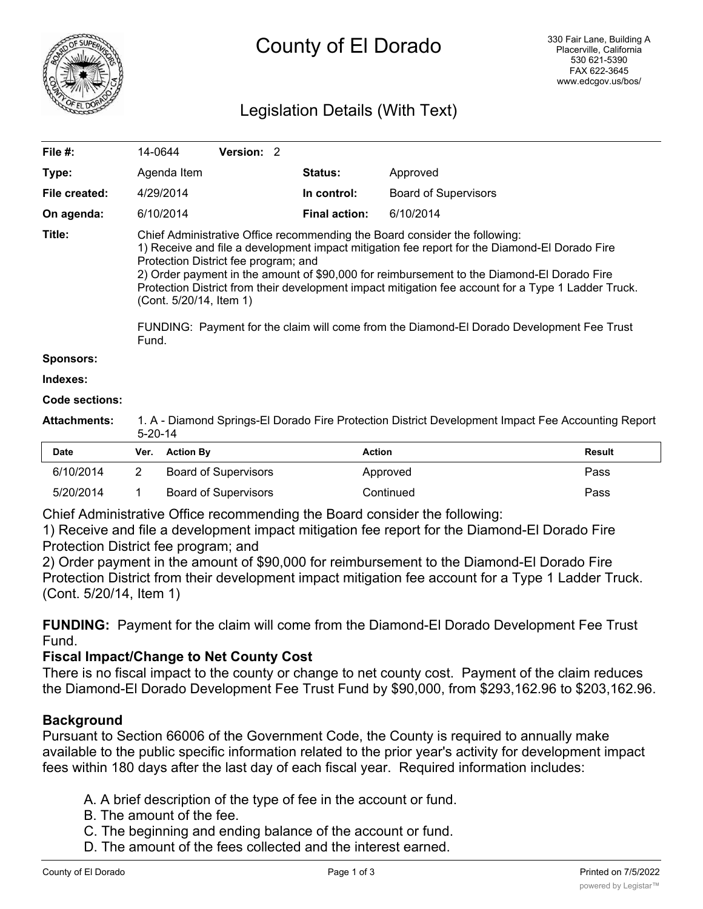

# Legislation Details (With Text)

| File #:             | 14-0644                                                                                                                                                                                                                                                                                                                                                                                                                                                                                                                                                   | Version: 2 |  |                      |                             |               |
|---------------------|-----------------------------------------------------------------------------------------------------------------------------------------------------------------------------------------------------------------------------------------------------------------------------------------------------------------------------------------------------------------------------------------------------------------------------------------------------------------------------------------------------------------------------------------------------------|------------|--|----------------------|-----------------------------|---------------|
| Type:               | Agenda Item                                                                                                                                                                                                                                                                                                                                                                                                                                                                                                                                               |            |  | <b>Status:</b>       | Approved                    |               |
| File created:       | 4/29/2014                                                                                                                                                                                                                                                                                                                                                                                                                                                                                                                                                 |            |  | In control:          | <b>Board of Supervisors</b> |               |
| On agenda:          | 6/10/2014                                                                                                                                                                                                                                                                                                                                                                                                                                                                                                                                                 |            |  | <b>Final action:</b> | 6/10/2014                   |               |
| Title:              | Chief Administrative Office recommending the Board consider the following:<br>1) Receive and file a development impact mitigation fee report for the Diamond-El Dorado Fire<br>Protection District fee program; and<br>2) Order payment in the amount of \$90,000 for reimbursement to the Diamond-El Dorado Fire<br>Protection District from their development impact mitigation fee account for a Type 1 Ladder Truck.<br>(Cont. 5/20/14, Item 1)<br>FUNDING: Payment for the claim will come from the Diamond-El Dorado Development Fee Trust<br>Fund. |            |  |                      |                             |               |
| <b>Sponsors:</b>    |                                                                                                                                                                                                                                                                                                                                                                                                                                                                                                                                                           |            |  |                      |                             |               |
| Indexes:            |                                                                                                                                                                                                                                                                                                                                                                                                                                                                                                                                                           |            |  |                      |                             |               |
| Code sections:      |                                                                                                                                                                                                                                                                                                                                                                                                                                                                                                                                                           |            |  |                      |                             |               |
| <b>Attachments:</b> | 1. A - Diamond Springs-El Dorado Fire Protection District Development Impact Fee Accounting Report<br>$5 - 20 - 14$                                                                                                                                                                                                                                                                                                                                                                                                                                       |            |  |                      |                             |               |
| <b>Date</b>         | <b>Action By</b><br>Ver.                                                                                                                                                                                                                                                                                                                                                                                                                                                                                                                                  |            |  | <b>Action</b>        |                             | <b>Result</b> |

| <b>Date</b> | Ver. Action By       | Action    | <b>Result</b> |
|-------------|----------------------|-----------|---------------|
| 6/10/2014   | Board of Supervisors | Approved  | Pass          |
| 5/20/2014   | Board of Supervisors | Continued | Pass          |

Chief Administrative Office recommending the Board consider the following:

1) Receive and file a development impact mitigation fee report for the Diamond-El Dorado Fire Protection District fee program; and

2) Order payment in the amount of \$90,000 for reimbursement to the Diamond-El Dorado Fire Protection District from their development impact mitigation fee account for a Type 1 Ladder Truck. (Cont. 5/20/14, Item 1)

**FUNDING:** Payment for the claim will come from the Diamond-El Dorado Development Fee Trust Fund.

# **Fiscal Impact/Change to Net County Cost**

There is no fiscal impact to the county or change to net county cost. Payment of the claim reduces the Diamond-El Dorado Development Fee Trust Fund by \$90,000, from \$293,162.96 to \$203,162.96.

# **Background**

Pursuant to Section 66006 of the Government Code, the County is required to annually make available to the public specific information related to the prior year's activity for development impact fees within 180 days after the last day of each fiscal year. Required information includes:

- A. A brief description of the type of fee in the account or fund.
- B. The amount of the fee.
- C. The beginning and ending balance of the account or fund.
- D. The amount of the fees collected and the interest earned.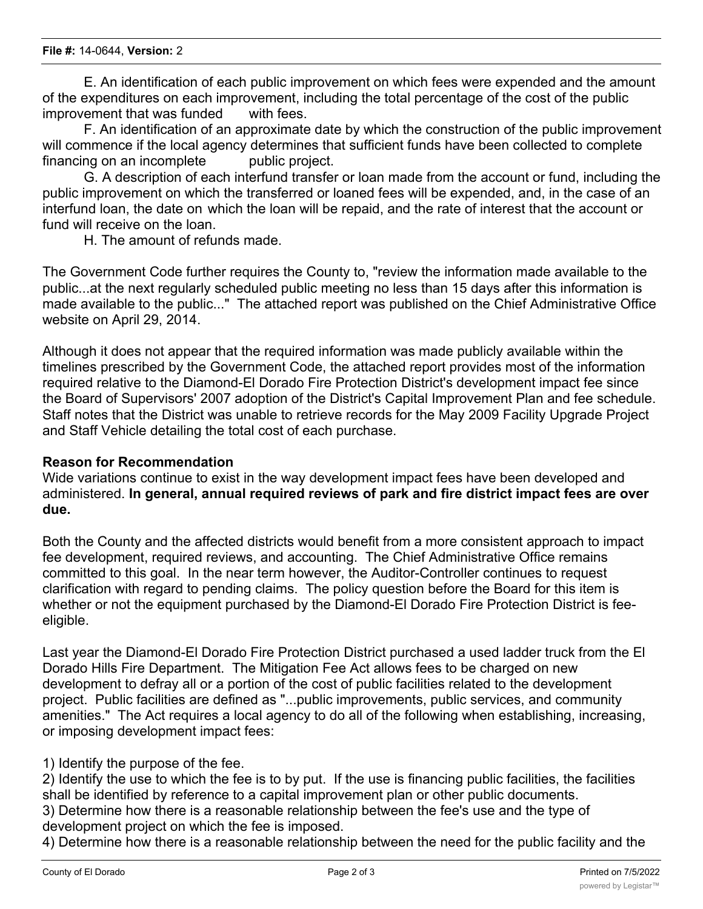E. An identification of each public improvement on which fees were expended and the amount of the expenditures on each improvement, including the total percentage of the cost of the public improvement that was funded with fees.

F. An identification of an approximate date by which the construction of the public improvement will commence if the local agency determines that sufficient funds have been collected to complete financing on an incomplete public project.

G. A description of each interfund transfer or loan made from the account or fund, including the public improvement on which the transferred or loaned fees will be expended, and, in the case of an interfund loan, the date on which the loan will be repaid, and the rate of interest that the account or fund will receive on the loan.

H. The amount of refunds made.

The Government Code further requires the County to, "review the information made available to the public...at the next regularly scheduled public meeting no less than 15 days after this information is made available to the public..." The attached report was published on the Chief Administrative Office website on April 29, 2014.

Although it does not appear that the required information was made publicly available within the timelines prescribed by the Government Code, the attached report provides most of the information required relative to the Diamond-El Dorado Fire Protection District's development impact fee since the Board of Supervisors' 2007 adoption of the District's Capital Improvement Plan and fee schedule. Staff notes that the District was unable to retrieve records for the May 2009 Facility Upgrade Project and Staff Vehicle detailing the total cost of each purchase.

#### **Reason for Recommendation**

Wide variations continue to exist in the way development impact fees have been developed and administered. **In general, annual required reviews of park and fire district impact fees are over due.**

Both the County and the affected districts would benefit from a more consistent approach to impact fee development, required reviews, and accounting. The Chief Administrative Office remains committed to this goal. In the near term however, the Auditor-Controller continues to request clarification with regard to pending claims. The policy question before the Board for this item is whether or not the equipment purchased by the Diamond-El Dorado Fire Protection District is feeeligible.

Last year the Diamond-El Dorado Fire Protection District purchased a used ladder truck from the El Dorado Hills Fire Department. The Mitigation Fee Act allows fees to be charged on new development to defray all or a portion of the cost of public facilities related to the development project. Public facilities are defined as "...public improvements, public services, and community amenities." The Act requires a local agency to do all of the following when establishing, increasing, or imposing development impact fees:

# 1) Identify the purpose of the fee.

2) Identify the use to which the fee is to by put. If the use is financing public facilities, the facilities shall be identified by reference to a capital improvement plan or other public documents. 3) Determine how there is a reasonable relationship between the fee's use and the type of development project on which the fee is imposed.

4) Determine how there is a reasonable relationship between the need for the public facility and the